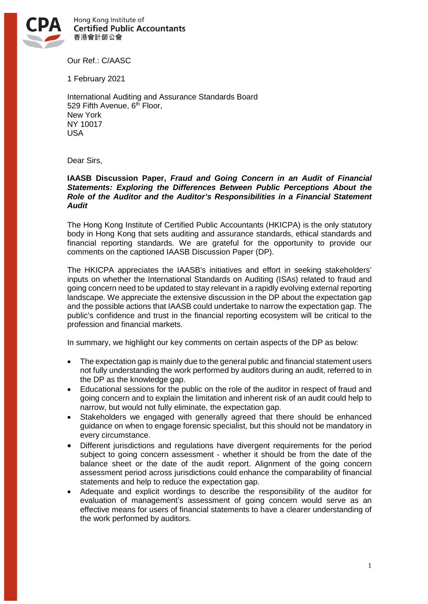

Hong Kong Institute of **Certified Public Accountants** 香港會計師公會

Our Ref.: C/AASC

1 February 2021

International Auditing and Assurance Standards Board 529 Fifth Avenue, 6<sup>th</sup> Floor, New York NY 10017 USA

Dear Sirs,

### **IAASB Discussion Paper,** *Fraud and Going Concern in an Audit of Financial Statements: Exploring the Differences Between Public Perceptions About the Role of the Auditor and the Auditor's Responsibilities in a Financial Statement Audit*

The Hong Kong Institute of Certified Public Accountants (HKICPA) is the only statutory body in Hong Kong that sets auditing and assurance standards, ethical standards and financial reporting standards. We are grateful for the opportunity to provide our comments on the captioned IAASB Discussion Paper (DP).

The HKICPA appreciates the IAASB's initiatives and effort in seeking stakeholders' inputs on whether the International Standards on Auditing (ISAs) related to fraud and going concern need to be updated to stay relevant in a rapidly evolving external reporting landscape. We appreciate the extensive discussion in the DP about the expectation gap and the possible actions that IAASB could undertake to narrow the expectation gap. The public's confidence and trust in the financial reporting ecosystem will be critical to the profession and financial markets.

In summary, we highlight our key comments on certain aspects of the DP as below:

- The expectation gap is mainly due to the general public and financial statement users not fully understanding the work performed by auditors during an audit, referred to in the DP as the knowledge gap.
- Educational sessions for the public on the role of the auditor in respect of fraud and going concern and to explain the limitation and inherent risk of an audit could help to narrow, but would not fully eliminate, the expectation gap.
- Stakeholders we engaged with generally agreed that there should be enhanced guidance on when to engage forensic specialist, but this should not be mandatory in every circumstance.
- Different jurisdictions and regulations have divergent requirements for the period subject to going concern assessment - whether it should be from the date of the balance sheet or the date of the audit report. Alignment of the going concern assessment period across jurisdictions could enhance the comparability of financial statements and help to reduce the expectation gap.
- Adequate and explicit wordings to describe the responsibility of the auditor for evaluation of management's assessment of going concern would serve as an effective means for users of financial statements to have a clearer understanding of the work performed by auditors.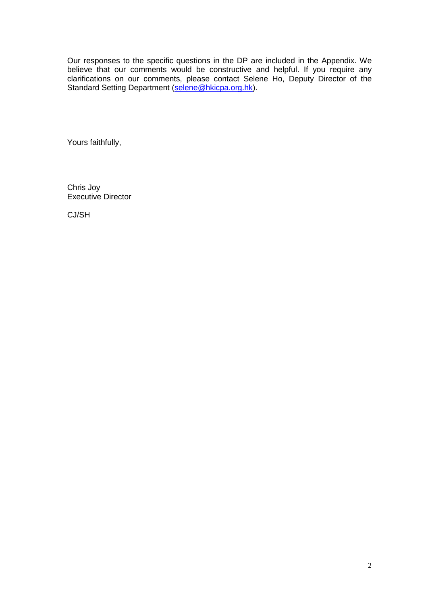Our responses to the specific questions in the DP are included in the Appendix. We believe that our comments would be constructive and helpful. If you require any clarifications on our comments, please contact Selene Ho, Deputy Director of the Standard Setting Department [\(selene@hkicpa.org.hk\)](mailto:selene@hkicpa.org.hk).

Yours faithfully,

Chris Joy Executive Director

CJ/SH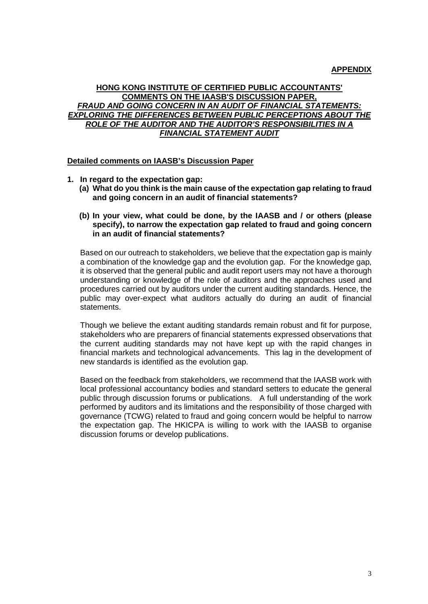# **APPENDIX**

# **HONG KONG INSTITUTE OF CERTIFIED PUBLIC ACCOUNTANTS' COMMENTS ON THE IAASB'S DISCUSSION PAPER,** *FRAUD AND GOING CONCERN IN AN AUDIT OF FINANCIAL STATEMENTS: EXPLORING THE DIFFERENCES BETWEEN PUBLIC PERCEPTIONS ABOUT THE ROLE OF THE AUDITOR AND THE AUDITOR'S RESPONSIBILITIES IN A FINANCIAL STATEMENT AUDIT*

#### **Detailed comments on IAASB's Discussion Paper**

- **1. In regard to the expectation gap:**
	- **(a) What do you think is the main cause of the expectation gap relating to fraud and going concern in an audit of financial statements?**
	- **(b) In your view, what could be done, by the IAASB and / or others (please specify), to narrow the expectation gap related to fraud and going concern in an audit of financial statements?**

Based on our outreach to stakeholders, we believe that the expectation gap is mainly a combination of the knowledge gap and the evolution gap. For the knowledge gap, it is observed that the general public and audit report users may not have a thorough understanding or knowledge of the role of auditors and the approaches used and procedures carried out by auditors under the current auditing standards. Hence, the public may over-expect what auditors actually do during an audit of financial statements.

Though we believe the extant auditing standards remain robust and fit for purpose, stakeholders who are preparers of financial statements expressed observations that the current auditing standards may not have kept up with the rapid changes in financial markets and technological advancements. This lag in the development of new standards is identified as the evolution gap.

Based on the feedback from stakeholders, we recommend that the IAASB work with local professional accountancy bodies and standard setters to educate the general public through discussion forums or publications. A full understanding of the work performed by auditors and its limitations and the responsibility of those charged with governance (TCWG) related to fraud and going concern would be helpful to narrow the expectation gap. The HKICPA is willing to work with the IAASB to organise discussion forums or develop publications.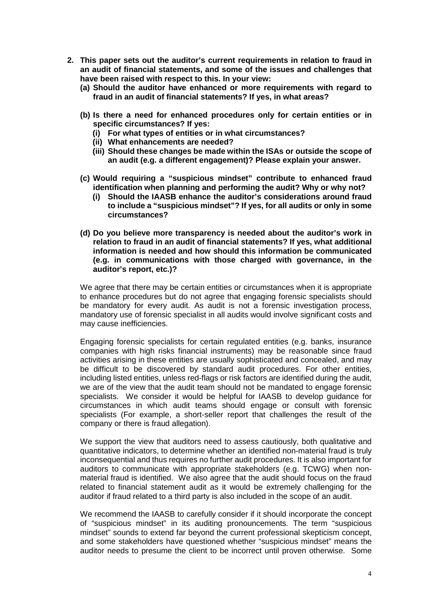- **2. This paper sets out the auditor's current requirements in relation to fraud in an audit of financial statements, and some of the issues and challenges that have been raised with respect to this. In your view:**
	- **(a) Should the auditor have enhanced or more requirements with regard to fraud in an audit of financial statements? If yes, in what areas?**
	- **(b) Is there a need for enhanced procedures only for certain entities or in specific circumstances? If yes:**
		- **(i) For what types of entities or in what circumstances?**
		- **(ii) What enhancements are needed?**
		- **(iii) Should these changes be made within the ISAs or outside the scope of an audit (e.g. a different engagement)? Please explain your answer.**
	- **(c) Would requiring a "suspicious mindset" contribute to enhanced fraud identification when planning and performing the audit? Why or why not?**
		- **(i) Should the IAASB enhance the auditor's considerations around fraud to include a "suspicious mindset"? If yes, for all audits or only in some circumstances?**
	- **(d) Do you believe more transparency is needed about the auditor's work in relation to fraud in an audit of financial statements? If yes, what additional information is needed and how should this information be communicated (e.g. in communications with those charged with governance, in the auditor's report, etc.)?**

We agree that there may be certain entities or circumstances when it is appropriate to enhance procedures but do not agree that engaging forensic specialists should be mandatory for every audit. As audit is not a forensic investigation process, mandatory use of forensic specialist in all audits would involve significant costs and may cause inefficiencies.

Engaging forensic specialists for certain regulated entities (e.g. banks, insurance companies with high risks financial instruments) may be reasonable since fraud activities arising in these entities are usually sophisticated and concealed, and may be difficult to be discovered by standard audit procedures. For other entities, including listed entities, unless red-flags or risk factors are identified during the audit, we are of the view that the audit team should not be mandated to engage forensic specialists. We consider it would be helpful for IAASB to develop guidance for circumstances in which audit teams should engage or consult with forensic specialists (For example, a short-seller report that challenges the result of the company or there is fraud allegation).

We support the view that auditors need to assess cautiously, both qualitative and quantitative indicators, to determine whether an identified non-material fraud is truly inconsequential and thus requires no further audit procedures. It is also important for auditors to communicate with appropriate stakeholders (e.g. TCWG) when nonmaterial fraud is identified. We also agree that the audit should focus on the fraud related to financial statement audit as it would be extremely challenging for the auditor if fraud related to a third party is also included in the scope of an audit.

We recommend the IAASB to carefully consider if it should incorporate the concept of "suspicious mindset" in its auditing pronouncements. The term "suspicious mindset" sounds to extend far beyond the current professional skepticism concept, and some stakeholders have questioned whether "suspicious mindset" means the auditor needs to presume the client to be incorrect until proven otherwise. Some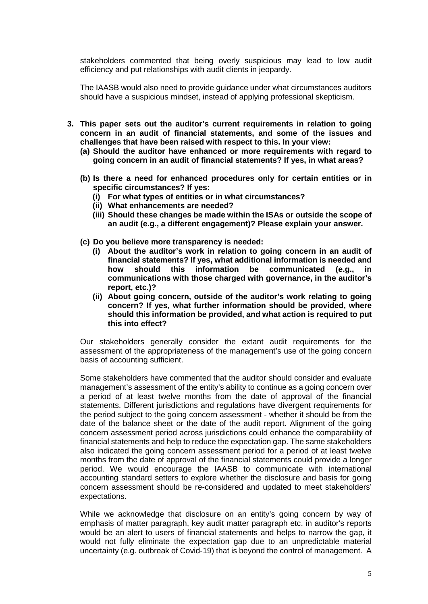stakeholders commented that being overly suspicious may lead to low audit efficiency and put relationships with audit clients in jeopardy.

The IAASB would also need to provide guidance under what circumstances auditors should have a suspicious mindset, instead of applying professional skepticism.

- **3. This paper sets out the auditor's current requirements in relation to going concern in an audit of financial statements, and some of the issues and challenges that have been raised with respect to this. In your view:**
	- **(a) Should the auditor have enhanced or more requirements with regard to going concern in an audit of financial statements? If yes, in what areas?**
	- **(b) Is there a need for enhanced procedures only for certain entities or in specific circumstances? If yes:**
		- **(i) For what types of entities or in what circumstances?**
		- **(ii) What enhancements are needed?**
		- **(iii) Should these changes be made within the ISAs or outside the scope of an audit (e.g., a different engagement)? Please explain your answer.**
	- **(c) Do you believe more transparency is needed:**
		- **(i) About the auditor's work in relation to going concern in an audit of financial statements? If yes, what additional information is needed and how should this information be communicated (e.g., in communications with those charged with governance, in the auditor's report, etc.)?**
		- **(ii) About going concern, outside of the auditor's work relating to going concern? If yes, what further information should be provided, where should this information be provided, and what action is required to put this into effect?**

Our stakeholders generally consider the extant audit requirements for the assessment of the appropriateness of the management's use of the going concern basis of accounting sufficient.

Some stakeholders have commented that the auditor should consider and evaluate management's assessment of the entity's ability to continue as a going concern over a period of at least twelve months from the date of approval of the financial statements. Different jurisdictions and regulations have divergent requirements for the period subject to the going concern assessment - whether it should be from the date of the balance sheet or the date of the audit report. Alignment of the going concern assessment period across jurisdictions could enhance the comparability of financial statements and help to reduce the expectation gap. The same stakeholders also indicated the going concern assessment period for a period of at least twelve months from the date of approval of the financial statements could provide a longer period. We would encourage the IAASB to communicate with international accounting standard setters to explore whether the disclosure and basis for going concern assessment should be re-considered and updated to meet stakeholders' expectations.

While we acknowledge that disclosure on an entity's going concern by way of emphasis of matter paragraph, key audit matter paragraph etc. in auditor's reports would be an alert to users of financial statements and helps to narrow the gap, it would not fully eliminate the expectation gap due to an unpredictable material uncertainty (e.g. outbreak of Covid-19) that is beyond the control of management. A